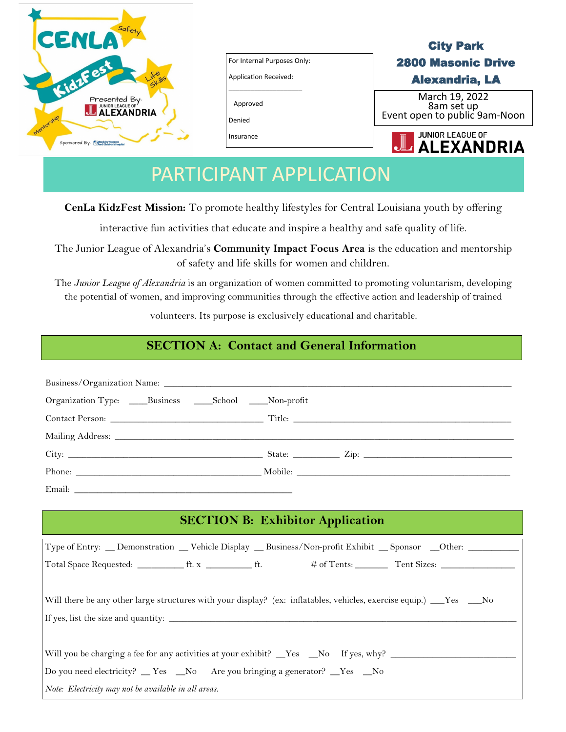

For Internal Purposes Only: Application Received:

\_\_\_\_\_\_\_\_\_\_\_\_\_\_\_\_\_\_\_\_

Approved

Denied

Insurance

## City Park 2800 Masonic Drive Alexandria, LA

March 19, 2022 8am set up Event open to public 9am-Noon



# PARTICIPANT APPLICATION

**CenLa KidzFest Mission:** To promote healthy lifestyles for Central Louisiana youth by offering

interactive fun activities that educate and inspire a healthy and safe quality of life.

The Junior League of Alexandria's **Community Impact Focus Area** is the education and mentorship of safety and life skills for women and children.

The *Junior League of Alexandria* is an organization of women committed to promoting voluntarism, developing the potential of women, and improving communities through the effective action and leadership of trained

volunteers. Its purpose is exclusively educational and charitable.

### **SECTION A: Contact and General Information**

| Organization Type: _____Business ______School _____Non-profit                                                       |  |  |
|---------------------------------------------------------------------------------------------------------------------|--|--|
|                                                                                                                     |  |  |
|                                                                                                                     |  |  |
|                                                                                                                     |  |  |
|                                                                                                                     |  |  |
|                                                                                                                     |  |  |
| <b>SECTION B: Exhibitor Application</b>                                                                             |  |  |
| Type of Entry: __ Demonstration __ Vehicle Display __ Business/Non-profit Exhibit __ Sponsor __Other: ________      |  |  |
|                                                                                                                     |  |  |
|                                                                                                                     |  |  |
| Will there be any other large structures with your display? (ex: inflatables, vehicles, exercise equip.) __Yes __No |  |  |
|                                                                                                                     |  |  |
|                                                                                                                     |  |  |
| Will you be charging a fee for any activities at your exhibit? _Yes _No If yes, why? ______________                 |  |  |
| Do you need electricity? __Yes __No Are you bringing a generator? __Yes __No                                        |  |  |
| Note: Electricity may not be available in all areas.                                                                |  |  |